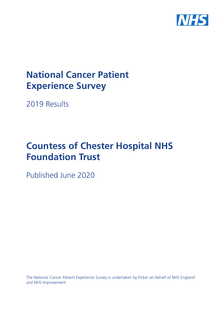

# **National Cancer Patient Experience Survey**

2019 Results

# **Countess of Chester Hospital NHS Foundation Trust**

Published June 2020

The National Cancer Patient Experience Survey is undertaken by Picker on behalf of NHS England and NHS Improvement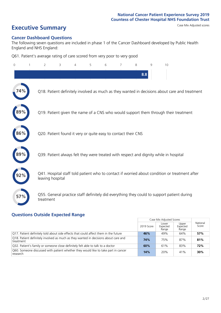# **Executive Summary** Case Mix Adjusted scores

#### **Cancer Dashboard Questions**

The following seven questions are included in phase 1 of the Cancer Dashboard developed by Public Health England and NHS England:

Q61. Patient's average rating of care scored from very poor to very good

|                                                                                                                   | 8.8 |  |
|-------------------------------------------------------------------------------------------------------------------|-----|--|
| 74%<br>Q18. Patient definitely involved as much as they wanted in decisions about care and treatment              |     |  |
| Q19. Patient given the name of a CNS who would support them through their treatment                               |     |  |
| 86%<br>Q20. Patient found it very or quite easy to contact their CNS                                              |     |  |
| Q39. Patient always felt they were treated with respect and dignity while in hospital                             |     |  |
| Q41. Hospital staff told patient who to contact if worried about condition or treatment after<br>leaving hospital |     |  |
| Q55. General practice staff definitely did everything they could to support patient during<br>57%<br>treatment    |     |  |

### **Questions Outside Expected Range**

|                                                                                                  | 2019 Score | Case Mix Adjusted Scores<br>Upper<br>Lower<br>Expected<br>Expected<br>Range<br>Range<br>49%<br>64%<br>75%<br>87%<br>83%<br>61%<br>20%<br>41% | National<br>Score |     |
|--------------------------------------------------------------------------------------------------|------------|----------------------------------------------------------------------------------------------------------------------------------------------|-------------------|-----|
| Q17. Patient definitely told about side effects that could affect them in the future             | 46%        |                                                                                                                                              |                   | 57% |
| Q18. Patient definitely involved as much as they wanted in decisions about care and<br>treatment | 74%        |                                                                                                                                              |                   | 81% |
| Q32. Patient's family or someone close definitely felt able to talk to a doctor                  | 60%        |                                                                                                                                              |                   | 72% |
| Q60. Someone discussed with patient whether they would like to take part in cancer<br>research   | 14%        |                                                                                                                                              |                   | 30% |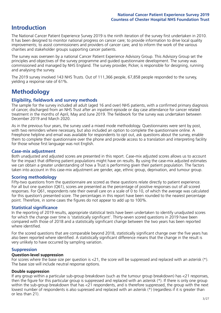## **Introduction**

The National Cancer Patient Experience Survey 2019 is the ninth iteration of the survey first undertaken in 2010. It has been designed to monitor national progress on cancer care; to provide information to drive local quality improvements; to assist commissioners and providers of cancer care; and to inform the work of the various charities and stakeholder groups supporting cancer patients.

The survey was overseen by a national Cancer Patient Experience Advisory Group. This Advisory Group set the principles and objectives of the survey programme and guided questionnaire development. The survey was commissioned and managed by NHS England. The survey provider, Picker, is responsible for designing, running and analysing the survey.

The 2019 survey involved 143 NHS Trusts. Out of 111,366 people, 67,858 people responded to the survey, yielding a response rate of 61%.

# **Methodology**

#### **Eligibility, eldwork and survey methods**

The sample for the survey included all adult (aged 16 and over) NHS patients, with a confirmed primary diagnosis of cancer, discharged from an NHS Trust after an inpatient episode or day case attendance for cancer related treatment in the months of April, May and June 2019. The fieldwork for the survey was undertaken between December 2019 and March 2020.

As in the previous four years, the survey used a mixed mode methodology. Questionnaires were sent by post, with two reminders where necessary, but also included an option to complete the questionnaire online. A Freephone helpline and email was available for respondents to opt out, ask questions about the survey, enable them to complete their questionnaire over the phone and provide access to a translation and interpreting facility for those whose first language was not English.

#### **Case-mix adjustment**

Both unadjusted and adjusted scores are presented in this report. Case-mix adjusted scores allows us to account for the impact that differing patient populations might have on results. By using the case-mix adjusted estimates we can obtain a greater understanding of how a Trust is performing given their patient population. The factors taken into account in this case-mix adjustment are gender, age, ethnic group, deprivation, and tumour group.

#### **Scoring methodology**

Fifty-two questions from the questionnaire are scored as these questions relate directly to patient experience. For all but one question (Q61), scores are presented as the percentage of positive responses out of all scored responses. For Q61, respondents rate their overall care on a scale of 0 to 10, of which the average was calculated for this question's presented score. The percentages in this report have been rounded to the nearest percentage point. Therefore, in some cases the figures do not appear to add up to 100%.

#### **Statistical significance**

In the reporting of 2019 results, appropriate statistical tests have been undertaken to identify unadjusted scores for which the change over time is 'statistically significant'. Thirty-seven scored questions in 2019 have been compared with those of 2018 and a statistically significant change between the two years has been reported where identified.

For the scored questions that are comparable beyond 2018, statistically significant change over the five years has also been reported where identified. A statistically significant difference means that the change in the result is very unlikely to have occurred by sampling variation.

#### **Suppression**

#### **Question-level suppression**

For scores where the base size per question is  $<$ 21, the score will be suppressed and replaced with an asterisk (\*). The base size will include neutral response options.

#### **Double suppression**

If any group within a particular sub-group breakdown (such as the tumour group breakdown) has <21 responses, then the figure for this particular group is suppressed and replaced with an asterisk (\*). If there is only one group within the sub-group breakdown that has <21 respondents, and is therefore suppressed, the group with the next lowest number of respondents is also supressed and replaced with an asterisk (\*) (regardless if it is greater than or less than 21).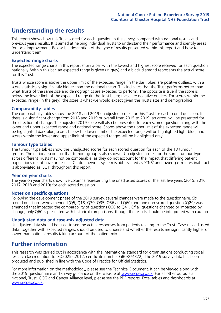# **Understanding the results**

This report shows how this Trust scored for each question in the survey, compared with national results and previous year's results. It is aimed at helping individual Trusts to understand their performance and identify areas for local improvement. Below is a description of the type of results presented within this report and how to understand them.

#### **Expected range charts**

The expected range charts in this report show a bar with the lowest and highest score received for each question nationally. Within this bar, an expected range is given (in grey) and a black diamond represents the actual score for this Trust.

Trusts whose score is above the upper limit of the expected range (in the dark blue) are positive outliers, with a score statistically significantly higher than the national mean. This indicates that the Trust performs better than what Trusts of the same size and demographics are expected to perform. The opposite is true if the score is below the lower limit of the expected range (in the light blue); these are negative outliers. For scores within the expected range (in the grey), the score is what we would expect given the Trust's size and demographics.

#### **Comparability tables**

The comparability tables show the 2018 and 2019 unadjusted scores for this Trust for each scored question. If there is a significant change from 2018 and 2019 or overall from 2015 to 2019, an arrow will be presented for the direction of change. The adjusted 2019 score will also be presented for each scored question along with the lower and upper expected range and national score. Scores above the upper limit of the expected range will be highlighted dark blue, scores below the lower limit of the expected range will be highlighted light blue, and scores within the lower and upper limit of the expected ranges will be highlighted grey.

#### **Tumour type tables**

The tumour type tables show the unadjusted scores for each scored question for each of the 13 tumour groups. The national score for that tumour group is also shown. Unadjusted scores for the same tumour type across different Trusts may not be comparable, as they do not account for the impact that differing patient populations might have on results. Central nervous system is abbreviated as 'CNS' and lower gastrointestinal tract is abbreviated as 'LGT' throughout this report.

#### **Year on year charts**

The year on year charts show five columns representing the unadjusted scores of the last five years (2015, 2016, 2017, 2018 and 2019) for each scored question.

#### **Notes on specific questions**

Following the development phase of the 2019 survey, several changes were made to the questionnaire. Six scored questions were amended (Q5, Q18, Q30, Q35, Q56 and Q60) and one non-scored question (Q29) was amended that impacted the comparability of questions Q30 to Q41. Of all questions changed or impacted by change, only Q60 is presented with historical comparisons; though the results should be interpreted with caution.

#### **Unadjusted data and case-mix adjusted data**

Unadjusted data should be used to see the actual responses from patients relating to the Trust. Case-mix adjusted data, together with expected ranges, should be used to understand whether the results are significantly higher or lower than national results taking account of the patient mix.

### **Further information**

This research was carried out in accordance with the international standard for organisations conducting social research (accreditation to ISO20252:2012; certificate number GB08/74322). The 2019 survey data has been produced and published in line with the Code of Practice for Official Statistics.

For more information on the methodology, please see the Technical Document. It can be viewed along with the 2019 questionnaire and survey quidance on the website at [www.ncpes.co.uk](https://www.ncpes.co.uk/supporting-documents). For all other outputs at National, Trust, CCG and Cancer Alliance level, please see the PDF reports, Excel tables and dashboards at [www.ncpes.co.uk.](https://www.ncpes.co.uk/current-results)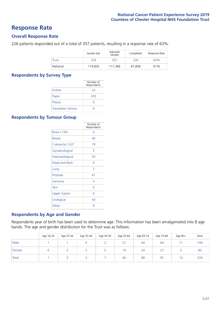### **Response Rate**

#### **Overall Response Rate**

226 patients responded out of a total of 357 patients, resulting in a response rate of 63%.

|          | Sample Size | Adjusted<br>Sample | Completed | Response Rate |
|----------|-------------|--------------------|-----------|---------------|
| Trust    | 376         | 357                | 226       | 63%           |
| National | 119,855     | 111.366            | 67.858    | 61%           |

#### **Respondents by Survey Type**

|                            | Number of<br>Respondents |
|----------------------------|--------------------------|
| Online                     | 23                       |
| Paper                      | 203                      |
| Phone                      | $\left( \right)$         |
| <b>Translation Service</b> |                          |

#### **Respondents by Tumour Group**

|                      | Number of<br>Respondents |
|----------------------|--------------------------|
| Brain / CNS          | ∩                        |
| <b>Breast</b>        | 45                       |
| Colorectal / LGT     | 19                       |
| Gynaecological       | 5                        |
| Haematological       | 55                       |
| <b>Head and Neck</b> | 4                        |
| Lung                 | $\overline{2}$           |
| Prostate             | 41                       |
| Sarcoma              | 3                        |
| Skin                 | Ω                        |
| <b>Upper Gastro</b>  | O                        |
| Urological           | 43                       |
| Other                | 9                        |

#### **Respondents by Age and Gender**

Respondents year of birth has been used to determine age. This information has been amalgamated into 8 age bands. The age and gender distribution for the Trust was as follows:

|        | Age 16-24 | Age 25-34 | Age 35-44 | Age 45-54 | Age 55-64 | Age 65-74 | Age 75-84      | Age 85+ | Total |
|--------|-----------|-----------|-----------|-----------|-----------|-----------|----------------|---------|-------|
| Male   |           |           |           |           | 21        | 44        | 64             |         | 144   |
| Female |           |           |           |           | 19        | 24        | $\lnot$<br>2.  |         | 82    |
| Total  |           |           |           |           | 40        | 68        | 9 <sup>1</sup> | 14      | 226   |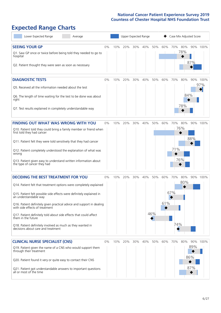# **Expected Range Charts**

| Lower Expected Range<br>Average                                                                                                                                                                                                                                                                                                                                                                                                                                                                                             |    |     | Upper Expected Range |     |     |            |            | Case Mix Adjusted Score |                   |                   |             |
|-----------------------------------------------------------------------------------------------------------------------------------------------------------------------------------------------------------------------------------------------------------------------------------------------------------------------------------------------------------------------------------------------------------------------------------------------------------------------------------------------------------------------------|----|-----|----------------------|-----|-----|------------|------------|-------------------------|-------------------|-------------------|-------------|
| <b>SEEING YOUR GP</b><br>Q1. Saw GP once or twice before being told they needed to go to<br>hospital<br>Q2. Patient thought they were seen as soon as necessary                                                                                                                                                                                                                                                                                                                                                             | 0% | 10% | 20%                  | 30% | 40% | 50%        | 60%        | 70% 80%                 | 78%               | 87%               | 90% 100%    |
| <b>DIAGNOSTIC TESTS</b><br>Q5. Received all the information needed about the test<br>Q6. The length of time waiting for the test to be done was about<br>right<br>Q7. Test results explained in completely understandable way                                                                                                                                                                                                                                                                                               | 0% | 10% | 20%                  | 30% | 40% | 50%        | 60%        | 70%                     | 80%<br>84%<br>78% | 90%               | 100%<br>97% |
| <b>FINDING OUT WHAT WAS WRONG WITH YOU</b><br>Q10. Patient told they could bring a family member or friend when<br>first told they had cancer<br>Q11. Patient felt they were told sensitively that they had cancer<br>Q12. Patient completely understood the explanation of what was<br>wrong<br>Q13. Patient given easy to understand written information about<br>the type of cancer they had                                                                                                                             | 0% | 10% | 20%                  | 30% | 40% | 50%        | 60%        | 70% 80%<br>71%          | 76%<br>76%        | 88%               | 90% 100%    |
| <b>DECIDING THE BEST TREATMENT FOR YOU</b><br>Q14. Patient felt that treatment options were completely explained<br>Q15. Patient felt possible side effects were definitely explained in<br>an understandable way<br>Q16. Patient definitely given practical advice and support in dealing<br>with side effects of treatment<br>Q17. Patient definitely told about side effects that could affect<br>them in the future<br>Q18. Patient definitely involved as much as they wanted in<br>decisions about care and treatment | 0% | 10% | 20%                  | 30% | 40% | 50%<br>46% | 60%<br>61% | 70%<br>67%<br>74%       | 80%<br>80%        |                   | 90% 100%    |
| <b>CLINICAL NURSE SPECIALIST (CNS)</b><br>Q19. Patient given the name of a CNS who would support them<br>through their treatment<br>Q20. Patient found it very or quite easy to contact their CNS<br>Q21. Patient got understandable answers to important questions<br>all or most of the time                                                                                                                                                                                                                              | 0% | 10% | 20%                  | 30% | 40% | 50%        | 60%        | 70%                     | 80%               | 89%<br>86%<br>87% | 90% 100%    |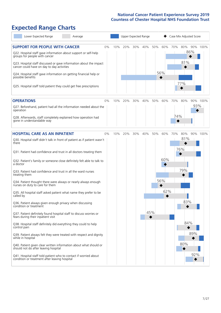# **Expected Range Charts**

| Lower Expected Range<br>Average                                                                                                                   |     | Upper Expected Range<br>Case Mix Adjusted Score |     |            |     |            |                 |  |  |
|---------------------------------------------------------------------------------------------------------------------------------------------------|-----|-------------------------------------------------|-----|------------|-----|------------|-----------------|--|--|
| <b>SUPPORT FOR PEOPLE WITH CANCER</b><br>0%<br>Q22. Hospital staff gave information about support or self-help                                    | 10% | 20%                                             | 30% | 40%<br>50% | 60% | 70%<br>80% | 90% 100%<br>86% |  |  |
| groups for people with cancer<br>Q23. Hospital staff discussed or gave information about the impact<br>cancer could have on day to day activities |     |                                                 |     |            |     | 81%        |                 |  |  |
| Q24. Hospital staff gave information on getting financial help or<br>possible benefits                                                            |     |                                                 |     |            | 56% |            |                 |  |  |
| Q25. Hospital staff told patient they could get free prescriptions                                                                                |     |                                                 |     |            |     | 77%        |                 |  |  |
| <b>OPERATIONS</b><br>0%                                                                                                                           | 10% | 20%                                             | 30% | 40%<br>50% | 60% | 70%<br>80% | 90% 100%        |  |  |
| Q27. Beforehand, patient had all the information needed about the<br>operation                                                                    |     |                                                 |     |            |     |            | 93%             |  |  |
| Q28. Afterwards, staff completely explained how operation had<br>gone in understandable way                                                       |     |                                                 |     |            |     | 74%        |                 |  |  |
| <b>HOSPITAL CARE AS AN INPATIENT</b><br>0%                                                                                                        | 10% | 20%                                             | 30% | 40%<br>50% | 60% | 70%<br>80% | 90% 100%        |  |  |
| Q30. Hospital staff didn't talk in front of patient as if patient wasn't<br>there                                                                 |     |                                                 |     |            |     | 81%        |                 |  |  |
| Q31. Patient had confidence and trust in all doctors treating them                                                                                |     |                                                 |     |            |     | 76%        |                 |  |  |
| Q32. Patient's family or someone close definitely felt able to talk to<br>a doctor                                                                |     |                                                 |     |            | 60% |            |                 |  |  |
| Q33. Patient had confidence and trust in all the ward nurses<br>treating them                                                                     |     |                                                 |     |            |     | 79%        |                 |  |  |
| Q34. Patient thought there were always or nearly always enough<br>nurses on duty to care for them                                                 |     |                                                 |     |            | 56% |            |                 |  |  |
| Q35. All hospital staff asked patient what name they prefer to be<br>called by                                                                    |     |                                                 |     |            | 62% |            |                 |  |  |
| Q36. Patient always given enough privacy when discussing<br>condition or treatment                                                                |     |                                                 |     |            |     |            | 83%             |  |  |
| Q37. Patient definitely found hospital staff to discuss worries or<br>fears during their inpatient visit                                          |     |                                                 |     | 45%        |     |            |                 |  |  |
| Q38. Hospital staff definitely did everything they could to help<br>control pain                                                                  |     |                                                 |     |            |     |            | 84%             |  |  |
| Q39. Patient always felt they were treated with respect and dignity<br>while in hospital                                                          |     |                                                 |     |            |     |            | 89%             |  |  |
| Q40. Patient given clear written information about what should or<br>should not do after leaving hospital                                         |     |                                                 |     |            |     | 80%        |                 |  |  |
| Q41. Hospital staff told patient who to contact if worried about<br>condition or treatment after leaving hospital                                 |     |                                                 |     |            |     |            | 92%             |  |  |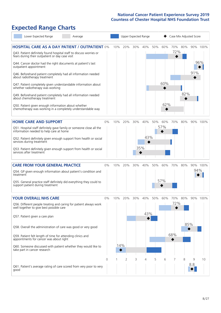# **Expected Range Charts**

| Lower Expected Range<br>Average                                                                                                                                                                                                                                                                                                                                                                                                                             |       |            |                |     | Upper Expected Range |     |            | Case Mix Adjusted Score |         |          |                 |
|-------------------------------------------------------------------------------------------------------------------------------------------------------------------------------------------------------------------------------------------------------------------------------------------------------------------------------------------------------------------------------------------------------------------------------------------------------------|-------|------------|----------------|-----|----------------------|-----|------------|-------------------------|---------|----------|-----------------|
| <b>HOSPITAL CARE AS A DAY PATIENT / OUTPATIENT 0%</b><br>Q43. Patient definitely found hospital staff to discuss worries or<br>fears during their outpatient or day case visit<br>Q44. Cancer doctor had the right documents at patient's last<br>outpatient appointment<br>Q46. Beforehand patient completely had all information needed<br>about radiotherapy treatment<br>Q47. Patient completely given understandable information about                 |       | 10%        | 20%            | 30% | 40%                  | 50% | 60%<br>60% | 72%                     | 70% 80% | 91%      | 90% 100%<br>96% |
| whether radiotherapy was working<br>Q49. Beforehand patient completely had all information needed<br>about chemotherapy treatment<br>Q50. Patient given enough information about whether<br>chemotherapy was working in a completely understandable way                                                                                                                                                                                                     |       |            |                |     |                      |     | 62%        |                         | 82%     |          |                 |
| <b>HOME CARE AND SUPPORT</b><br>Q51. Hospital staff definitely gave family or someone close all the<br>information needed to help care at home<br>Q52. Patient definitely given enough support from health or social<br>services during treatment<br>Q53. Patient definitely given enough support from health or social<br>services after treatment                                                                                                         | 0%    | 10%        | 20%            | 30% | 40%<br>43%<br>35%    | 50% | 60%<br>57% | 70%                     | 80%     |          | 90% 100%        |
| <b>CARE FROM YOUR GENERAL PRACTICE</b><br>Q54. GP given enough information about patient's condition and<br>treatment<br>Q55. General practice staff definitely did everything they could to<br>support patient during treatment                                                                                                                                                                                                                            | $0\%$ | 10%        | 20%            | 30% | 40%                  | 50% | 60%<br>57% | 70%                     | 80%     | 94%      | 90% 100%        |
| <b>YOUR OVERALL NHS CARE</b><br>Q56. Different people treating and caring for patient always work<br>well together to give best possible care<br>Q57. Patient given a care plan<br>Q58. Overall the administration of care was good or very good<br>Q59. Patient felt length of time for attending clinics and<br>appointments for cancer was about right<br>Q60. Someone discussed with patient whether they would like to<br>take part in cancer research | $0\%$ | 10%<br>14% | 20%            | 30% | 40%<br>43%           | 50% | 60%        | 70%<br>72%<br>68%       | 80%     | 85%      | 90% 100%        |
| Q61. Patient's average rating of care scored from very poor to very<br>good                                                                                                                                                                                                                                                                                                                                                                                 | 0     |            | $\overline{2}$ | 3   | 4                    | 5   | 6          |                         | 8       | 9<br>8.8 | 10              |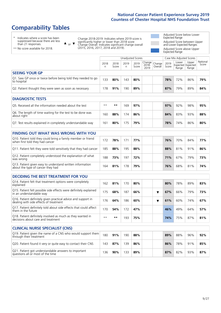# **Comparability Tables**

\* Indicates where a score has been suppressed because there are less than 21 responses.

\*\* No score available for 2018.

 $\triangle$  or  $\nabla$ 

Change 2018-2019: Indicates where 2019 score is significantly higher or lower than 2018 score Change Overall: Indicates significant change overall (2015, 2016, 2017, 2018 and 2019).

Adjusted Score below Lower Expected Range Adjusted Score between Upper and Lower Expected Ranges Adjusted Score above Upper Expected Range

|                                                                             |           |               | Unadjusted Scores |               |                           |                     | Case Mix Adjusted Scores |                                            |                |                   |
|-----------------------------------------------------------------------------|-----------|---------------|-------------------|---------------|---------------------------|---------------------|--------------------------|--------------------------------------------|----------------|-------------------|
|                                                                             | 2018<br>n | 2018<br>Score | 2019<br>n         | 2019<br>Score | Change  <br>2018-<br>2019 | Change  <br>Overall | 2019<br>Score            | Lower<br><b>Expected Expected</b><br>Range | Upper<br>Range | National<br>Score |
| <b>SEEING YOUR GP</b>                                                       |           |               |                   |               |                           |                     |                          |                                            |                |                   |
| Q1. Saw GP once or twice before being told they needed to go<br>to hospital | 133       | 80%           | 143               | 80%           |                           |                     | 78%                      | 72%                                        | 86%            | 79%               |
| Q2. Patient thought they were seen as soon as necessary                     | 178       | 91%           | 190               | 89%           |                           |                     | 87%                      | 79%                                        | 89%            | 84%               |
|                                                                             |           |               |                   |               |                           |                     |                          |                                            |                |                   |
| <b>DIAGNOSTIC TESTS</b>                                                     |           |               |                   |               |                           |                     |                          |                                            |                |                   |
| Q5. Received all the information needed about the test                      | $***$     | **            | 169               | 97%           |                           |                     | 97%                      | 92%                                        | 98%            | 95%               |

| Q6. The length of time waiting for the test to be done was<br>about right | 160 | 88% | 174 | 86% |  | 84% | 83% | 93% | 88% |
|---------------------------------------------------------------------------|-----|-----|-----|-----|--|-----|-----|-----|-----|
| Q7. Test results explained in completely understandable way               | 161 | 80% | 75  | 79% |  | 78% | 74% | 86% | 80% |

| <b>FINDING OUT WHAT WAS WRONG WITH YOU</b>                                                      |     |     |     |     |     |     |     |     |
|-------------------------------------------------------------------------------------------------|-----|-----|-----|-----|-----|-----|-----|-----|
| Q10. Patient told they could bring a family member or friend<br>when first told they had cancer | 172 | 78% | 171 | 77% | 76% | 70% | 84% | 77% |
| Q11. Patient felt they were told sensitively that they had cancer                               | 185 | 88% | 195 | 88% | 88% | 81% | 91% | 86% |
| Q12. Patient completely understood the explanation of what<br>was wrong                         | 188 | 73% | 197 | 72% | 71% | 67% | 79% | 73% |
| Q13. Patient given easy to understand written information<br>about the type of cancer they had  | 164 | 81% | 178 | 79% | 76% | 68% | 81% | 74% |

| <b>DECIDING THE BEST TREATMENT FOR YOU</b>                                                              |      |     |     |     |  |     |     |     |     |
|---------------------------------------------------------------------------------------------------------|------|-----|-----|-----|--|-----|-----|-----|-----|
| Q14. Patient felt that treatment options were completely<br>explained                                   | 62   | 81% | 170 | 80% |  | 80% | 78% | 89% | 83% |
| Q15. Patient felt possible side effects were definitely explained<br>in an understandable way           | 175  | 68% | 187 | 66% |  | 67% | 66% | 79% | 73% |
| Q16. Patient definitely given practical advice and support in<br>dealing with side effects of treatment | 176  | 64% | 186 | 60% |  | 61% | 60% | 74% | 67% |
| Q17. Patient definitely told about side effects that could affect<br>them in the future                 | 170  | 54% | 172 | 47% |  | 46% | 49% | 64% | 57% |
| Q18. Patient definitely involved as much as they wanted in<br>decisions about care and treatment        | $**$ | **  | 193 | 75% |  | 74% | 75% | 87% | 81% |

| <b>CLINICAL NURSE SPECIALIST (CNS)</b>                                                    |     |     |     |     |     |     |     |     |
|-------------------------------------------------------------------------------------------|-----|-----|-----|-----|-----|-----|-----|-----|
| Q19. Patient given the name of a CNS who would support them<br>through their treatment    | 180 | 91% | 190 | 88% | 89% | 88% | 96% | 92% |
| Q20. Patient found it very or quite easy to contact their CNS                             | 143 | 87% | 139 | 86% | 86% | 78% | 91% | 85% |
| Q21. Patient got understandable answers to important<br>questions all or most of the time | 136 | 90% | 133 | 89% | 87% | 82% | 93% | 87% |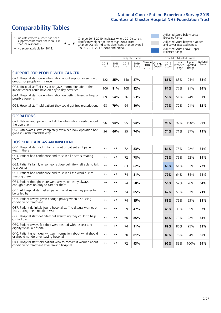# **Comparability Tables**

\* Indicates where a score has been suppressed because there are less than 21 responses.

\*\* No score available for 2018.

 $\triangle$  or  $\nabla$ 

Change 2018-2019: Indicates where 2019 score is significantly higher or lower than 2018 score Change Overall: Indicates significant change overall (2015, 2016, 2017, 2018 and 2019).

Adjusted Score below Lower Expected Range Adjusted Score between Upper and Lower Expected Ranges Adjusted Score above Upper Expected Range

|                                                                                                                   |              |               | <b>Unadjusted Scores</b> |               |                         |                   |               | Case Mix Adjusted Scores            |                |                   |
|-------------------------------------------------------------------------------------------------------------------|--------------|---------------|--------------------------|---------------|-------------------------|-------------------|---------------|-------------------------------------|----------------|-------------------|
|                                                                                                                   | 2018<br>n    | 2018<br>Score | 2019<br>n                | 2019<br>Score | Change<br>2018-<br>2019 | Change<br>Overall | 2019<br>Score | Lower<br>Expected Expected<br>Range | Upper<br>Range | National<br>Score |
| <b>SUPPORT FOR PEOPLE WITH CANCER</b>                                                                             |              |               |                          |               |                         |                   |               |                                     |                |                   |
| Q22. Hospital staff gave information about support or self-help<br>groups for people with cancer                  | 122          | 85%           | 150                      | 87%           |                         |                   | 86%           | 83%                                 | 94%            | 88%               |
| Q23. Hospital staff discussed or gave information about the<br>impact cancer could have on day to day activities  | 106          | 81%           | 108                      | 82%           |                         |                   | 81%           | 77%                                 | 91%            | 84%               |
| Q24. Hospital staff gave information on getting financial help or<br>possible benefits                            | 69           | 54%           | 76                       | 53%           |                         |                   | 56%           | 51%                                 | 74%            | 63%               |
| Q25. Hospital staff told patient they could get free prescriptions                                                | 68           | 79%           | 64                       | 80%           |                         |                   | 77%           | 72%                                 | 91%            | 82%               |
| <b>OPERATIONS</b>                                                                                                 |              |               |                          |               |                         |                   |               |                                     |                |                   |
| Q27. Beforehand, patient had all the information needed about<br>the operation                                    | 96           | 94%           | 95                       | 94%           |                         |                   | 93%           | 92%                                 | 100%           | 96%               |
| Q28. Afterwards, staff completely explained how operation had<br>gone in understandable way                       | 96           | 66%           | 95                       | 74%           |                         |                   | 74%           | 71%                                 | 87%            | 79%               |
| <b>HOSPITAL CARE AS AN INPATIENT</b>                                                                              |              |               |                          |               |                         |                   |               |                                     |                |                   |
| Q30. Hospital staff didn't talk in front of patient as if patient<br>wasn't there                                 | $**$         | $***$         | 72                       | 83%           |                         |                   | 81%           | 75%                                 | 92%            | 84%               |
| Q31. Patient had confidence and trust in all doctors treating<br>them                                             | $* *$        | $***$         | 72                       | 78%           |                         |                   | 76%           | 75%                                 | 92%            | 84%               |
| Q32. Patient's family or someone close definitely felt able to talk<br>to a doctor                                | $* *$        | $***$         | 63                       | 62%           |                         |                   | 60%           | 61%                                 | 83%            | 72%               |
| O33. Patient had confidence and trust in all the ward nurses<br>treating them                                     | $\star\star$ | **            | 74                       | 81%           |                         |                   | 79%           | 64%                                 | 84%            | 74%               |
| Q34. Patient thought there were always or nearly always<br>enough nurses on duty to care for them                 | $**$         | $***$         | 74                       | 58%           |                         |                   | 56%           | 52%                                 | 76%            | 64%               |
| Q35. All hospital staff asked patient what name they prefer to<br>be called by                                    | $\star\star$ | $***$         | 74                       | 65%           |                         |                   | 62%           | 59%                                 | 83%            | 71%               |
| Q36. Patient always given enough privacy when discussing<br>condition or treatment                                | $* *$        | $**$          | 74                       | 85%           |                         |                   | 83%           | 76%                                 | 93%            | 85%               |
| Q37. Patient definitely found hospital staff to discuss worries or<br>fears during their inpatient visit          | $* *$        | **            | 59                       | 47%           |                         |                   | 45%           | 39%                                 | 65%            | 52%               |
| Q38. Hospital staff definitely did everything they could to help<br>control pain                                  | $* *$        | $***$         | 60                       | 85%           |                         |                   | 84%           | 73%                                 | 92%            | 83%               |
| Q39. Patient always felt they were treated with respect and<br>dignity while in hospital                          | $\star\star$ | $***$         | 74                       | 91%           |                         |                   | 89%           | 80%                                 | 95%            | 88%               |
| Q40. Patient given clear written information about what should<br>or should not do after leaving hospital         | $**$         | $***$         | 70                       | 81%           |                         |                   | 80%           | 78%                                 | 94%            | 86%               |
| Q41. Hospital staff told patient who to contact if worried about<br>condition or treatment after leaving hospital | $\star\star$ | $***$         | 72                       | 93%           |                         |                   | 92%           | 89%                                 | 100%           | 94%               |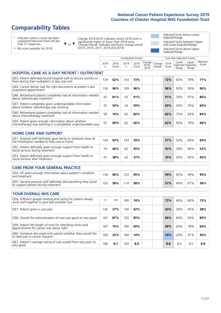# **Comparability Tables**

\* Indicates where a score has been suppressed because there are less than 21 responses.

\*\* No score available for 2018.

 $\triangle$  or  $\nabla$ 

Change 2018-2019: Indicates where 2019 score is significantly higher or lower than 2018 score Change Overall: Indicates significant change overall (2015, 2016, 2017, 2018 and 2019).

Adjusted Score below Lower Expected Range Adjusted Score between Upper and Lower Expected Ranges Adjusted Score above Upper Expected Range

|                                                                                                                       |                      |               | Unadjusted Scores |               |                            |                   |               | Case Mix Adjusted Scores            |                |                   |
|-----------------------------------------------------------------------------------------------------------------------|----------------------|---------------|-------------------|---------------|----------------------------|-------------------|---------------|-------------------------------------|----------------|-------------------|
|                                                                                                                       | 2018<br>$\mathsf{n}$ | 2018<br>Score | 2019<br>n         | 2019<br>Score | Change<br>$2018 -$<br>2019 | Change<br>Overall | 2019<br>Score | Lower<br>Expected Expected<br>Range | Upper<br>Range | National<br>Score |
| <b>HOSPITAL CARE AS A DAY PATIENT / OUTPATIENT</b>                                                                    |                      |               |                   |               |                            |                   |               |                                     |                |                   |
| Q43. Patient definitely found hospital staff to discuss worries or<br>fears during their outpatient or day case visit | 129                  | 62%           | 143               | 73%           |                            |                   | 72%           | 63%                                 | 78%            | 71%               |
| Q44. Cancer doctor had the right documents at patient's last<br>outpatient appointment                                | 156                  | 96%           | 169               | 96%           |                            |                   | 96%           | 93%                                 | 99%            | 96%               |
| Q46. Beforehand patient completely had all information needed<br>about radiotherapy treatment                         | 42                   | 81%           | 43                | 91%           |                            |                   | 91%           | 76%                                 | 97%            | 86%               |
| Q47. Patient completely given understandable information<br>about whether radiotherapy was working                    | 35                   | 54%           | 34                | 59%           |                            |                   | 60%           | 43%                                 | 76%            | 60%               |
| Q49. Beforehand patient completely had all information needed<br>about chemotherapy treatment                         | 58                   | 74%           | 65                | 82%           |                            |                   | 82%           | 75%                                 | 93%            | 84%               |
| Q50. Patient given enough information about whether<br>chemotherapy was working in a completely understandable way    | 55                   | 69%           | 62                | 66%           |                            |                   | 62%           | 56%                                 | 79%            | 68%               |
| <b>HOME CARE AND SUPPORT</b>                                                                                          |                      |               |                   |               |                            |                   |               |                                     |                |                   |
| Q51. Hospital staff definitely gave family or someone close all<br>the information needed to help care at home        | 144                  | 63%           | 143               | 59%           |                            |                   | 57%           | 52%                                 | 68%            | 60%               |
| Q52. Patient definitely given enough support from health or<br>social services during treatment                       | 74                   | 46%           | 62                | 45%           |                            |                   | 43%           | 39%                                 | 66%            | 52%               |
| Q53. Patient definitely given enough support from health or<br>social services after treatment                        | 47                   | 38%           | 43                | 37%           |                            |                   | 35%           | 30%                                 | 60%            | 45%               |
| <b>CARE FROM YOUR GENERAL PRACTICE</b>                                                                                |                      |               |                   |               |                            |                   |               |                                     |                |                   |
| Q54. GP given enough information about patient's condition<br>and treatment                                           | 158                  | 96%           | 153               | 95%           |                            |                   | 94%           | 92%                                 | 99%            | 95%               |
| Q55. General practice staff definitely did everything they could<br>to support patient during treatment               | 105                  | 58%           | 114               | 58%           |                            |                   | 57%           | 49%                                 | 67%            | 58%               |
| <b>YOUR OVERALL NHS CARE</b>                                                                                          |                      |               |                   |               |                            |                   |               |                                     |                |                   |
| Q56. Different people treating and caring for patient always<br>work well together to give best possible care         | $\star\star$         | $***$         | 180               | 74%           |                            |                   | 72%           | 66%                                 | 80%            | 73%               |
| Q57. Patient given a care plan                                                                                        | 145                  | 37%           | 156               | 42%           |                            |                   | 43%           | 30%                                 | 45%            | 38%               |
| Q58. Overall the administration of care was good or very good                                                         | 187                  | 87%           | 193               | 85%           |                            |                   | 85%           | 84%                                 | 94%            | 89%               |
| Q59. Patient felt length of time for attending clinics and<br>appointments for cancer was about right                 | 187                  | 75%           | 190               | 69%           |                            |                   | 68%           | 60%                                 | 78%            | 69%               |
| Q60. Someone discussed with patient whether they would like<br>to take part in cancer research                        | 180                  | 23%           | 180               | 14%           |                            |                   | 14%           | 20%                                 | 41%            | 30%               |
| Q61. Patient's average rating of care scored from very poor to<br>very good                                           | 186                  | 8.7           | 183               | 8.9           |                            |                   | 8.8           | 8.6                                 | 9.0            | 8.8               |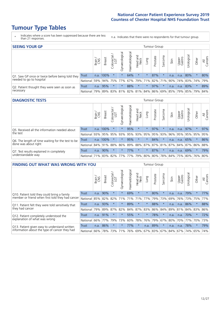# **Tumour Type Tables**

- \* Indicates where a score has been suppressed because there are less than 21 responses.
- n.a. Indicates that there were no respondents for that tumour group.

| <b>SEEING YOUR GP</b>                           |            |              |               |                   |                |               |                                         |         | Tumour Group |         |      |                 |                                         |         |                |
|-------------------------------------------------|------------|--------------|---------------|-------------------|----------------|---------------|-----------------------------------------|---------|--------------|---------|------|-----------------|-----------------------------------------|---------|----------------|
|                                                 |            | Brain<br>CNS | <b>Breast</b> | Colorectal<br>LGT | Gynaecological | Haematologica | Head and<br>Neck                        | Lung    | Prostate     | Sarcoma | Skin | Upper<br>Gastro | $\overline{\sigma}$<br>Jrologica        | Other   | All<br>Cancers |
| Q1. Saw GP once or twice before being told they | Trust      |              | n.a. 100%     | $\star$           | $\star$        | 64%           | $\star$                                 | $\star$ | 87%          |         | n.a. | n.a.            | 80%                                     | $\star$ | 80%            |
| needed to go to hospital                        | National I | 59%          |               |                   | 94% 75% 77%    |               |                                         |         |              |         |      |                 | 67% 79% 71% 82% 71% 90% 74% 83% 74% 79% |         |                |
| Q2. Patient thought they were seen as soon as   | Trust      | n.a.         | 95%           | $\star$           | $\star$        | 88%           | $\star$                                 | $\star$ | 97%          | $\star$ | n.a. | n.a.            | 83%                                     | $\star$ | 89%            |
| necessary                                       | National I | 79%          |               |                   |                |               | 89% 83% 81% 82% 81% 84% 86% 69% 85% 79% |         |              |         |      |                 | 85% 79%                                 |         | 84%            |

#### **DIAGNOSTIC TESTS** Tumour Group

|                                                   |                  | Brain | <b>Breast</b>               | Colorectal<br>LGT | $\overline{\sigma}$<br>Gynaecologic | Haematological          | Head and<br>Neck | Lung    | Prostate | Sarcoma | Skin | Upper<br>Gastro | Irologica               | Other   | All<br>Cancers |
|---------------------------------------------------|------------------|-------|-----------------------------|-------------------|-------------------------------------|-------------------------|------------------|---------|----------|---------|------|-----------------|-------------------------|---------|----------------|
| Q5. Received all the information needed about     | <b>Trust</b>     |       | n.a. 100%                   |                   |                                     | 95%                     | $\star$          | $\star$ | 97%      |         | n.a. | n.a.            | 97%                     | $\star$ | 97%            |
| the test                                          | National         | 93%   | 95%                         | 95%               | 93%                                 | 95%                     |                  | 93% 95% | 95%      | 93%     | 96%  | 95%             | 95% 95%                 |         | 95%            |
| Q6. The length of time waiting for the test to be | Trust            |       | n.a. 100%                   |                   | $\star$                             | 95%                     | $\star$          | $\star$ | 84%      | $\star$ | n.a. | n.a.            | 65%                     | $\star$ | 86%            |
| done was about right                              | National 84% 91% |       |                             | 88%               |                                     | 86% 89% 88% 87% 87% 81% |                  |         |          |         |      |                 | 87% 84% 87% 86% 88%     |         |                |
| Q7. Test results explained in completely          | Trust            | n.a.  | 90%                         |                   |                                     | 77%                     | $\star$          | $\star$ | 87%      | $\star$ | n.a. | n.a.            | 69%                     | $\star$ | 79%            |
| understandable way                                | National 71%     |       | 83% 82% 77% 77% 79% 80% 80% |                   |                                     |                         |                  |         |          |         |      |                 | 78% 84% 75% 80% 76% 80% |         |                |

| <b>FINDING OUT WHAT WAS WRONG WITH YOU</b>        |              |       |               |                 |                |                |                        |                 | Tumour Group |         |         |                 |           |         |                |
|---------------------------------------------------|--------------|-------|---------------|-----------------|----------------|----------------|------------------------|-----------------|--------------|---------|---------|-----------------|-----------|---------|----------------|
|                                                   |              | Brain | <b>Breast</b> | ╮<br>Colorectal | Gynaecological | Haematological | ad and<br>Neck<br>Head | Lung            | Prostate     | Sarcoma | Skin    | Upper<br>Gastro | Jrologica | Other   | All<br>Cancers |
| Q10. Patient told they could bring a family       | <b>Trust</b> | n.a.  | 90%           | $\star$         | $\star$        | 69%            | $\star$                | $\star$         | 80%          | $\star$ | n.a.    | n.a.            | 79%       | $\star$ | 77%            |
| member or friend when first told they had cancer  | National     | 85%   | 82%           | 82%             | 71%            | 71%            | 71%                    | 77%             | 79%          | 73%     | 69%     | 76%             | 73% 75%   |         | 77%            |
| Q11. Patient felt they were told sensitively that | Trust        | n.a.  | 93%           |                 | $\star$        | 89%            | $\star$                | $\star$         | 88%          | $\star$ | n.a.    | n.a.            | 86%       | $\star$ | 88%            |
| they had cancer                                   | National     | 79%   | 89%           | 87%             | 82%            | 84%            | 87%                    | 83%             | 86%          | 84%     | 89%     | 81%             | 84% 83%   |         | 86%            |
| Q12. Patient completely understood the            | Trust        | n.a.  | 91%           |                 |                | 55%            | $\star$                | $\star$         | 78%          |         | n.a.    | n.a.            | 70%       | $\ast$  | 72%            |
| explanation of what was wrong                     | National     | 66%   | 77%           | 79%             | 73%            | 60%            | 78%                    | 76%             | 79%          | 67%     | 80%     | 70%             | 77%       | 70%     | 73%            |
| Q13. Patient given easy to understand written     | Trust        | n.a.  | 86%           | $\star$         | $\star$        | 77%            | $\ast$                 | n.a.            | 89%          | $\star$ | n.a.    | n.a.            | 78%       | $\ast$  | 79%            |
| information about the type of cancer they had     | National     | 66%   | 78%           | 73%             | 71%            | 76%            |                        | 69%   67%   83% |              |         | 67% 84% | 67%             | 74%       | 65%     | 74%            |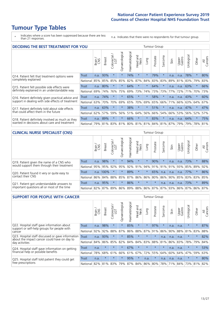# **Tumour Type Tables**

\* Indicates where a score has been suppressed because there are less than 21 responses.

n.a. Indicates that there were no respondents for that tumour group.

| <b>DECIDING THE BEST TREATMENT FOR YOU</b>         |          |       |               |                             |                |                |                         |          | <b>Tumour Group</b> |                                     |      |                 |            |         |                |
|----------------------------------------------------|----------|-------|---------------|-----------------------------|----------------|----------------|-------------------------|----------|---------------------|-------------------------------------|------|-----------------|------------|---------|----------------|
|                                                    |          | Brain | <b>Breast</b> | olorectal.<br>LGT<br>$\cup$ | Gynaecological | Haematological | ead and<br>Neck<br>Head | Lung     | Prostate            | arcoma<br>$\overline{2}$            | Skin | Upper<br>Gastro | Jrological | Other   | All<br>Cancers |
| Q14. Patient felt that treatment options were      | Trust    | n.a.  | 93%           | $\star$                     | $\star$        | 74%            | $\star$                 | $\star$  | 79%                 | $\star$                             | n.a. | n.a.            | 78%        | $\star$ | 80%            |
| completely explained                               | National | 85%   | 85%           | 85%                         | 85%            | 82%            | 87%                     | 84%      | 83%                 | 83%                                 | 89%  | 81%             | 83%        | 79%     | 83%            |
| Q15. Patient felt possible side effects were       | Trust    | n.a.  | 80%           |                             | $\star$        | 64%            | $\star$                 | $^\star$ | 64%                 | $\star$                             | n.a. | n.a.            | 63%        | $\star$ | 66%            |
| definitely explained in an understandable way      | National | 69%   | 74%           | 76%                         | 75%            | 69%            | 73%                     | 74%      | 73%                 | 73%                                 | 77%  | 72%             | 71%        | 70%     | 73%            |
| Q16. Patient definitely given practical advice and | Trust    | n.a.  | 74%           |                             | $\star$        | 65%            | $\star$                 | $\star$  | 58%                 | $\star$                             | n.a. | n.a.            | 43%        | $\star$ | 60%            |
| support in dealing with side effects of treatment  | National | 63%   | 70%           | 70%                         | 69%            | 65%            | 70%                     | 69%      | 65%                 | 66%                                 | 71%  | 66%             | 63%        | 64%     | 67%            |
| Q17. Patient definitely told about side effects    | Trust    | n.a.  | 63%           |                             | $\star$        | 38%            | $\star$                 | $\star$  | 51%                 | 大                                   | n.a. | n.a.            | 47%        | $\star$ | 47%            |
| that could affect them in the future               | National | 62%   | 57%           | 59%                         | 56%            | 51%            | 64%                     | 56%      | 66%                 | 54%                                 | 66%  | 53%             | 56%        | 52%     | 57%            |
| Q18. Patient definitely involved as much as they   | Trust    | n.a.  | 89%           | $\star$                     | $\star$        | 66%            | $\star$                 | $\star$  | 83%                 | $\star$                             | n.a. | n.a.            | 64%        | $\star$ | 75%            |
| wanted in decisions about care and treatment       | National | 79%   |               |                             |                |                |                         |          |                     | 81% 83% 81% 80% 81% 81% 84% 81% 87% |      | 79%             | 79%        | 78% 81% |                |

#### **CLINICAL NURSE SPECIALIST (CNS)** Tumour Group

|                                             |              | Brain<br>CNS | <b>Breast</b> | olorectal<br>LGT<br>Ü | $\sigma$<br>aecologica<br>Ğ | ক<br>Haematologic | Head and<br>Neck   | Lung    | Prostate | Sarcoma | Skin | Upper<br>Gastro                     | σ<br>rologica | Other   | All<br>Cancers |
|---------------------------------------------|--------------|--------------|---------------|-----------------------|-----------------------------|-------------------|--------------------|---------|----------|---------|------|-------------------------------------|---------------|---------|----------------|
| Q19. Patient given the name of a CNS who    | <b>Trust</b> | n.a.         | 98%           |                       |                             | 94%               | $\star$            |         | 90%      |         | n.a. | n.a.                                | 73%           | $\star$ | 88%            |
| would support them through their treatment  | National     | 95%          | 95%           | 92%                   | 95%                         | 92%               | $91\%$ 94% 91% 91% |         |          |         | 91%  | 93%                                 | 85% 89%       |         | 92%            |
| Q20. Patient found it very or quite easy to | Trust        | n.a.         | 100%          |                       |                             | 89%               | $\star$            |         | 65%      | n.a.    | n.a. | n.a.                                | 77%           |         | 86%            |
| contact their CNS                           | National l   |              | 86% 84% 88%   |                       | 85%                         | 87%               | 86%                |         | 86% 80%  |         |      | 86% 90% 85% 83% 83%                 |               |         | 85%            |
| Q21. Patient got understandable answers to  | Trust        | n.a.         | 95%           |                       | $\star$                     | 86%               | $\star$            | $\star$ | $\star$  | n.a.    | n.a. | n.a.                                | 73%           | $\star$ | 89%            |
| important questions all or most of the time | National 82% |              | 87%           | $89\%$                |                             |                   |                    |         |          |         |      | 86% 89% 88% 86% 87% 87% 93% 86% 87% |               | 86%     | 87%            |

| <b>SUPPORT FOR PEOPLE WITH CANCER</b>                                                             |              |       |               |                            |                |                |                         |             | Tumour Group |         |      |                 |           |         |                |
|---------------------------------------------------------------------------------------------------|--------------|-------|---------------|----------------------------|----------------|----------------|-------------------------|-------------|--------------|---------|------|-----------------|-----------|---------|----------------|
|                                                                                                   |              | Brain | <b>Breast</b> | ╮<br>olorectal<br>LGT<br>Ū | Gynaecological | Haematological | ead and<br>Neck<br>Head | <b>Dung</b> | Prostate     | Sarcoma | Skin | Upper<br>Gastro | Urologica | Other   | All<br>Cancers |
| Q22. Hospital staff gave information about<br>support or self-help groups for people with         | <b>Trust</b> | n.a.  | 98%           | $\star$                    | $\star$        | 85%            | $\star$                 | $\star$     | 97%          | $\star$ | n.a. | n.a.            | $\star$   | $\star$ | 87%            |
| cancer                                                                                            | National     | 92%   | 92%           | 88%                        | 87%            | 86%            | 88%                     | 87%         | 91%          | 86%     | 90%  | 88%             | 81%       | 83%     | 88%            |
| Q23. Hospital staff discussed or gave information<br>about the impact cancer could have on day to | Trust        | n.a.  | 93%           | $\star$                    | $\star$        | 85%            | $\star$                 | $\star$     | $\star$      | n.a.    | n.a. | n.a.            | $\star$   | $\star$ | 82%            |
| day activities                                                                                    | National     | 84%   | 86%           | 85%                        | 82%            | 84%            | 84%                     | 83%         | 88%          | 81%     | 86%  | 83%             | 78%       | 79%     | 84%            |
| Q24. Hospital staff gave information on getting                                                   | Trust        | n.a.  | $\star$       | $\star$                    | $\star$        | 67%            | $\star$                 | $\star$     | $\star$      | 大       | n.a. | n.a.            | $\star$   | $\star$ | 53%            |
| financial help or possible benefits                                                               | National     | 78%   | 68%           | 61%                        | 66%            | 61%            | 67%                     | 72%         | 55%          | 64%     | 60%  | 64%             | 47%       | 59%     | 63%            |
| Q25. Hospital staff told patient they could get                                                   | Trust        | n.a.  | $\star$       | $\star$                    |                | 95%            | $\star$                 | n.a.        | $\star$      | n.a.    | n.a. | n.a.            | $\star$   | $\star$ | 80%            |
| free prescriptions                                                                                | National     | 82%   | 81%           | 83%                        | 79%            | 87%            |                         |             | 84% 86% 80%  | 78%     | 71%  | 84%             | 73%       | 81%     | 82%            |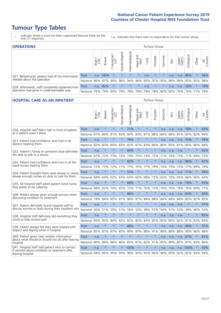# **Tumour Type Tables**

- \* Indicates where a score has been suppressed because there are less than 21 responses.
- n.a. Indicates that there were no respondents for that tumour group.

| <b>OPERATIONS</b>                                |              |       |               |            |                   |                |                                         |      | Tumour Group |         |      |                 |                       |           |                |
|--------------------------------------------------|--------------|-------|---------------|------------|-------------------|----------------|-----------------------------------------|------|--------------|---------|------|-----------------|-----------------------|-----------|----------------|
|                                                  |              | Brain | <b>Breast</b> | Colorectal | ক<br>Gynaecologic | Haematological | Head and<br>Neck                        | Lung | Prostate     | Sarcoma | Skin | Upper<br>Gastro | $\sigma$<br>Jrologica | Other     | All<br>Cancers |
| Q27. Beforehand, patient had all the information | Trust        | n.a.  | 100%          |            | $\star$           | $\star$        | $\star$                                 | n.a. | $\star$      | $\star$ | n.a. | n.a.            | 88%                   |           | 94%            |
| needed about the operation                       | National     | 96%   | 97%           | 96%        | 96%               | 94%            | 96% 95% 97% 95%                         |      |              |         | 96%  | $96\%$          | 95% 95%               |           | 96%            |
| Q28. Afterwards, staff completely explained how  | <b>Trust</b> | n.a.  | 82%           |            | $\star$           | $\star$        | $\star$                                 | n.a. | $\star$      | $\star$ | n.a. | n.a.            | 56%                   | $\star$   | 74%            |
| operation had gone in understandable way         | National     | 76%   |               | 79% 83%    |                   |                | 79%   78%   79%   79%   78%   80%   82% |      |              |         |      | 79%             |                       | 76%   77% | 79%            |

#### **HOSPITAL CARE AS AN INPATIENT** Tumour Group

|                                                                                                  |              | Brain | <b>Breast</b> | Colorectal /<br>LGT | Gynaecological | Haematological | Head and<br>Neck | Lung    | Prostate | Sarcoma | Skin | Upper<br>Gastro | Urological | Other           | All<br>Cancers |
|--------------------------------------------------------------------------------------------------|--------------|-------|---------------|---------------------|----------------|----------------|------------------|---------|----------|---------|------|-----------------|------------|-----------------|----------------|
| Q30. Hospital staff didn't talk in front of patient                                              | <b>Trust</b> | n.a.  | $\star$       | $\star$             | $\star$        | 71%            | $\star$          | $\star$ | $\star$  | n.a.    | n.a. | n.a.            | 78%        | $\star$         | 83%            |
| as if patient wasn't there                                                                       | National     | 81%   | 86%           | 81%                 | 83%            |                | 84% 83%          | 81%     | 88%      | 86%     | 86%  | 81%             |            | 83% 82%         | 84%            |
| 031. Patient had confidence and trust in all                                                     | Trust        | n.a.  | $\star$       | $\star$             | $\star$        | 76%            | $\star$          | $\star$ | $\star$  | n.a.    | n.a. | n.a.            | 70%        | $\star$         | 78%            |
| doctors treating them                                                                            | National     | 82%   | 83%           | 85%                 | 83%            | 82%            | 87%              | 83%     | 89%      | 86%     | 85%  | 81%             | 85%        | 80%             | 84%            |
| Q32. Patient's family or someone close definitely                                                | Trust        | n.a.  | $\star$       | $\star$             | $\star$        | 64%            | $\star$          | $\star$ | $\star$  | n.a.    | n.a. | n.a.            |            | $\star$         | 62%            |
| felt able to talk to a doctor                                                                    | National     | 67%   | 72%           | 73%                 | 72%            | 74%            | 75%              | 74%     | 72%      | 71%     | 74%  | 73%             | 71%        | 69%             | 72%            |
| Q33. Patient had confidence and trust in all the                                                 | <b>Trust</b> | n.a.  | $\star$       | $\star$             | $\star$        | 82%            | $\star$          | $\star$ | $\star$  | n.a.    | n.a. | n.a.            | 88%        | $\star$         | 81%            |
| ward nurses treating them                                                                        | National     | 72%   | 73%           | 72%                 | 71%            | 77%            |                  | 75% 77% | 79%      | 74%     | 75%  |                 | 73% 77%    | 69%             | 74%            |
| Q34. Patient thought there were always or nearly                                                 | <b>Trust</b> | n.a.  | $\star$       | $\star$             | $\star$        | 55%            | $\star$          | $\star$ | $\star$  | n.a.    | n.a. | n.a.            | 71%        | $\star$         | 58%            |
| always enough nurses on duty to care for them                                                    | National     | 68%   | 64%           | 62%                 | 63%            |                | 63% 65% 68%      |         | 72%      | 65%     | 70%  | 65%             | 66%        | 60%             | 64%            |
| Q35. All hospital staff asked patient what name                                                  | Trust        | n.a.  | $\star$       | $\star$             | $\star$        | 68%            | $\star$          | $\star$ | $\star$  | n.a.    | n.a. | n.a.            | 79%        | $\star$         | 65%            |
| they prefer to be called by                                                                      | National     | 68%   | 62%           | 74%                 | 65%            | 72%            | 71%              | 76%     | 72%      | 74%     | 70%  | 78%             | 76%        | 69%             | 71%            |
| Q36. Patient always given enough privacy when                                                    | <b>Trust</b> | n.a.  | $\star$       | $\star$             | $\star$        | 86%            | $\star$          | $\star$ | $\star$  | n.a.    | n.a. | n.a.            | 83%        |                 | 85%            |
| discussing condition or treatment                                                                | National     | 78%   | 84%           | 85%                 | 81%            |                | 86% 87%          | 84%     | 88%      | 84%     | 84%  | 84%             | 85%        | 82%             | 85%            |
| Q37. Patient definitely found hospital staff to                                                  | Trust        | n.a.  | $\star$       | $\star$             | $\star$        | $\star$        | $\star$          | $\star$ | $\star$  | n.a.    | n.a. | n.a.            | $\star$    | $\star$         | 47%            |
| discuss worries or fears during their inpatient visit                                            | National     | 45%   | 51%           | 55%                 | 51%            | 56%            | 52%              | 49%     | 53%      | 54%     |      | 51% 53%         | 49%        | 46%             | 52%            |
| Q38. Hospital staff definitely did everything they                                               | <b>Trust</b> | n.a.  | $\star$       | $\star$             | $\star$        | $\star$        | $\star$          | $\star$ | $\star$  | n.a.    | n.a. | n.a.            | $\star$    | $\star$         | 85%            |
| could to help control pain                                                                       | National     | 85%   | 83%           | 84%                 | 82%            | 82%            | 80%              | 84%     | 85%      | 83%     | 85%  | 82%             | 81%        | 82%             | 83%            |
| Q39. Patient always felt they were treated with                                                  | Trust        | n.a.  | $\star$       | $\star$             | $\star$        | 86%            | $\star$          | $\star$ | $\star$  | n.a.    | n.a. | n.a.            | 96%        | $\star$         | 91%            |
| respect and dignity while in hospital                                                            | National     | 85%   | 87%           | 87%                 | 85%            | 89%            | 87%              | 88%     | 91%      | 89%     | 89%  | 88%             | 90%        | 86%             | 88%            |
| Q40. Patient given clear written information<br>about what should or should not do after leaving | Trust        | n.a.  | $\star$       | $\star$             | $\star$        | $\star$        | $\star$          | $\star$ | $\star$  | n.a.    | n.a. | n.a.            | 87%        | $\star$         | 81%            |
| hospital                                                                                         | National     | 80%   | 89%           | 86%                 | 86%            |                | 83% 87% 82%      |         | 91%      | 85%     | 90%  |                 | 82% 87%    | 83%             | 86%            |
| Q41. Hospital staff told patient who to contact<br>if worried about condition or treatment after | Trust        | n.a.  | $\star$       | $\star$             |                | 100%           | $\star$          | $\star$ | $\star$  | n.a.    | n.a. |                 | n.a. 100%  | $\star$         | 93%            |
| leaving hospital                                                                                 | National I   | 94%   |               | 95% 95% 93%         |                | 96% 93% 92%    |                  |         | 96%      | 94%     |      |                 |            | 95% 92% 92% 93% | 94%            |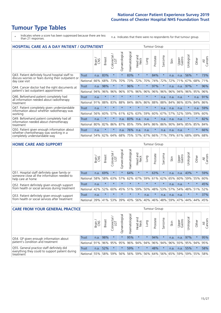# **Tumour Type Tables**

\* Indicates where a score has been suppressed because there are less than 21 responses.

n.a. Indicates that there were no respondents for that tumour group.

| <b>HOSPITAL CARE AS A DAY PATIENT / OUTPATIENT</b>                                                                    |              | <b>Tumour Group</b> |               |                            |                |                |                                |         |          |              |      |                 |            |         |                |
|-----------------------------------------------------------------------------------------------------------------------|--------------|---------------------|---------------|----------------------------|----------------|----------------|--------------------------------|---------|----------|--------------|------|-----------------|------------|---------|----------------|
|                                                                                                                       |              | Brain               | <b>Breast</b> | ╮<br>olorectal<br>LGT<br>Ũ | Gynaecological | Haematological | <b>Bad and</b><br>Neck<br>Head | Lung    | Prostate | arcoma<br>ŭĭ | Skin | Upper<br>Gastro | Urological | Other   | All<br>Cancers |
| Q43. Patient definitely found hospital staff to                                                                       | <b>Trust</b> | n.a.                | 83%           | $\star$                    | $\star$        | 83%            | $\star$                        | $\star$ | 84%      | $\star$      | n.a. | n.a.            | 56%        | $\star$ | 73%            |
| discuss worries or fears during their outpatient or<br>day case visit                                                 | National     | 66%                 | 68%           | 73%                        | 70%            | 73%            | 72%                            | 70%     | 74%      | 72%          | 72%  | 71%             | 67%        | 68%     | 71%            |
| Q44. Cancer doctor had the right documents at<br>patient's last outpatient appointment                                | Trust        | n.a.                | 98%           |                            |                | 96%            | $\star$                        | $\star$ | 97%      | $\star$      | n.a. | n.a.            | 97%        | $\star$ | 96%            |
|                                                                                                                       | National     | 94%                 | 96%           | 96%                        | 96%            | 97%            | 96%                            | 96%     | 96%      | 96%          | 96%  | 94%             | 96%        | 95%     | 96%            |
| Q46. Beforehand patient completely had                                                                                | Trust        | n.a.                | $\star$       | $\star$                    | $\star$        | $\star$        | $\star$                        | $\star$ | $\star$  | n.a.         | n.a. | n.a.            | $\star$    | n.a.    | 91%            |
| all information needed about radiotherapy<br>treatment                                                                | National     | 91%                 | 88%           | 83%                        | 88%            | 84%            | 86%                            | 86%     | 88%      | 88%          | 84%  | 86%             | 83%        | 84%     | 86%            |
| Q47. Patient completely given understandable                                                                          | <b>Trust</b> | n.a.                | $\star$       | $\star$                    |                |                | $\star$                        | $\star$ | $\star$  | n.a.         | n.a. | n.a.            | $\star$    | n.a.    | 59%            |
| information about whether radiotherapy was<br>working                                                                 | National     | 56%                 | 60%           | 57%                        | 61%            | 62%            | 63%                            | 59%     | 60%      | 67%          | 57%  | 52%             | 59%        | 59%     | 60%            |
| Q49. Beforehand patient completely had all<br>information needed about chemotherapy<br>treatment                      | Trust        | n.a.                | $\star$       | $\star$                    | n.a.           | 83%            | n.a.                           | n.a.    | $\star$  | n.a.         | n.a. | n.a.            | $^\star$   | $\star$ | 82%            |
|                                                                                                                       | National     | 80%                 | 82%           | 86%                        | 87%            | 85%            | 79%                            | 84%     | 86%      | 86%          | 90%  | 84%             | 85%        | 85%     | 84%            |
| Q50. Patient given enough information about<br>whether chemotherapy was working in a<br>completely understandable way | Trust        | n.a.                | $\star$       | $\star$                    | n.a.           | 76%            | n.a.                           | n.a.    | $\star$  | n.a.         | n.a. | n.a.            | $\star$    | $\star$ | 66%            |
|                                                                                                                       | National     | 54%                 | 62%           | 64%                        | 68%            | 75%            | 57%                            | 67%     | 66%      | 71%          | 79%  | 61%             | 68%        | 69%     | 68%            |

#### **HOME CARE AND SUPPORT** Tumour Group

|                                                                                                                   |          | Brain | Breast  | Colorectal<br>LGT | $\sigma$<br>Gynaecologic | Haematological | Head and<br>Neck | <b>Dung</b> | Prostate | Sarcoma | Skin    | Upper<br>Gastro | rological   | Other   | All<br>Cancers |
|-------------------------------------------------------------------------------------------------------------------|----------|-------|---------|-------------------|--------------------------|----------------|------------------|-------------|----------|---------|---------|-----------------|-------------|---------|----------------|
| Q51. Hospital staff definitely gave family or<br>someone close all the information needed to<br>help care at home | Trust    | n.a.  | 69%     |                   |                          | 64%            | $\star$          | $\star$     | 63%      | $\star$ | n.a.    | n.a.            | 43%         | $\star$ | 59%            |
|                                                                                                                   | National | 58%   | 58%     | 63%               | 57%                      | 62%            | 67%              | 59%         | 61%      | 62%     | 65%     | 60%             | 59% 55%     |         | 60%            |
| Q52. Patient definitely given enough support<br>from health or social services during treatment                   | Trust    | n.a.  | $\star$ | $\star$           | $\star$                  |                | $\star$          | $\star$     | $\star$  | $\star$ | n.a.    | n.a.            | $\star$     | $\star$ | 45%            |
|                                                                                                                   | National | 42%   | 52%     | 60%               |                          | 45% 51%        | 59%              | 50%         | 48%      |         | 53% 57% |                 | 54% 48% 51% |         | 52%            |
| Q53. Patient definitely given enough support<br>from health or social services after treatment                    | Trust    | n.a.  | $\star$ | $\star$           | $\star$                  | $\star$        | $\star$          | n.a.        | $\star$  | n.a.    | n.a.    | n.a.            | $\star$     | $\star$ | 37%            |
|                                                                                                                   | National | 39%   | 41% 53% |                   | 39%                      | $ 43\% $       | 56%              | 40%         | 46%      | 48%     | 59%     | 47%             | 44%         | 44%     | 45%            |

| <b>CARE FROM YOUR GENERAL PRACTICE</b>                                                                     |              |       |               |                   |                |                |                  | Tumour Group |                         |         |      |                 |           |         |                |  |  |
|------------------------------------------------------------------------------------------------------------|--------------|-------|---------------|-------------------|----------------|----------------|------------------|--------------|-------------------------|---------|------|-----------------|-----------|---------|----------------|--|--|
|                                                                                                            |              | Brain | <b>Breast</b> | Colorectal<br>LGT | Gynaecological | Haematological | Head and<br>Neck | Lung         | Prostate                | Sarcoma | Skin | Upper<br>Gastro | Urologica | Other   | All<br>Cancers |  |  |
| Q54. GP given enough information about<br>patient's condition and treatment                                | Trust        | n.a.  | 98%           |                   | $\star$        | 95%            | $\star$          | $\star$      | 94%                     |         | n.a. | n.a.            | 97%       | $\star$ | 95%            |  |  |
|                                                                                                            | National 91% |       |               | 96% 95%           | 95%            |                |                  |              | 96% 94% 94% 96% 94% 96% |         |      | 93% 95% 94%     |           |         | 95%            |  |  |
| Q55. General practice staff definitely did<br>everything they could to support patient during<br>treatment | Trust        | n.a.  | 52%           | $\star$           | $\star$        | 59%            | $\star$          | $\star$      | 48%                     |         | n.a. | n.a.            | 55%       | $\star$ | 58%            |  |  |
|                                                                                                            | National     | 55%   |               | 58% 59%           | 56%            |                | 56% 59%          |              | 56% 64% 56% 65%         |         |      | 59% 59% 55%     |           |         | 58%            |  |  |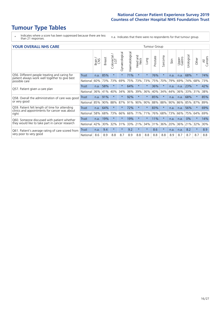# **Tumour Type Tables**

\* Indicates where a score has been suppressed because there are less than 21 responses.

n.a. Indicates that there were no respondents for that tumour group.

| <b>YOUR OVERALL NHS CARE</b> |       |               |                                       |                          |                |                   |                          |                                     |          |              |                 |            |                                    |                              |
|------------------------------|-------|---------------|---------------------------------------|--------------------------|----------------|-------------------|--------------------------|-------------------------------------|----------|--------------|-----------------|------------|------------------------------------|------------------------------|
|                              | Brain | <b>Breast</b> | ー<br>$\overline{e}$<br>Colorec<br>LGT | Gynaecological           | Haematological | Head and<br>Neck  | Lung                     | Prostate                            | Sarcoma  | Skin         | Upper<br>Gastro | Urological | Other                              | All<br>Cancers               |
| <b>Trust</b>                 | n.a.  | 85%           | $\star$                               | $\star$                  | 71%            | $\star$           | $\star$                  | 76%                                 | $\star$  | n.a.         | n.a.            | 68%        | $\star$                            | 74%                          |
| National                     | 60%   | 73%           | 73%                                   | 69%                      |                |                   | 73%                      | 75%                                 | 70%      | 79%          | 69%             |            | 68%                                | 73%                          |
| Trust                        | n.a.  | 58%           | $^\star$                              | $\star$                  | 64%            | $^\star$          | $\rightarrow$            | 36%                                 | $^\star$ | n.a.         | n.a.            | 23%        | $\ast$                             | 42%                          |
| National                     | 36%   |               | 40%                                   | 34%                      |                |                   |                          | 40%                                 | 34%      |              |                 |            |                                    | 38%                          |
| <b>Trust</b>                 | n.a.  | 91%           | $\star$                               | $\star$                  | 92%            | $\star$           | $\star$                  | 85%                                 | $\star$  | n.a.         | n.a.            | 68%        | $\star$                            | 85%                          |
| National                     | 85%   |               |                                       |                          |                |                   | 90%                      | 88%                                 | 88%      | 90%          |                 |            | 87%                                | 89%                          |
| <b>Trust</b>                 | n.a.  | 64%           | $^\star$                              | $\star$                  | 72%            | $\star$           | $\star$                  | 83%                                 | $\ast$   | n.a.         | n.a.            | 56%        | $\star$                            | 69%                          |
| National                     | 58%   |               | 73%                                   |                          |                |                   | 71%                      | 76%                                 | 68%      |              |                 |            | 64%                                | 69%                          |
| <b>Trust</b>                 | n.a.  | 19%           | $\star$                               | $\star$                  | 19%            | $\star$           | $\star$                  | 11%                                 | $\ast$   | n.a.         | n.a.            | 0%         | $\star$                            | 14%                          |
| National                     | 42%   |               | 32%                                   |                          |                |                   | 34%                      | 31%                                 | 36%      | 20%          |                 |            | 32%                                | 30%                          |
| Trust                        | n.a.  | 9.4           | $\star$                               | $\star$                  | 9.2            | $\star$           | $\star$                  | 8.6                                 | $\star$  | n.a.         | n.a.            | 8.2        | $\star$                            | 8.9                          |
| National                     | 8.6   | 8.9           | 8.8                                   | 8.7                      | 8.9            | 8.8               | 8.8                      | 8.8                                 | 8.8      | 8.9          | 8.7             | 8.7        | 8.7                                | 8.8                          |
|                              |       |               |                                       | 41%<br>90%<br>68%<br>30% | 88%            | 87%<br>66%<br>31% | 75%<br>36%<br>91%<br>66% | 73%<br>39%<br>90%<br>71%<br>33% 21% | 36%      | Tumour Group |                 | 44%<br>73% | 74%<br>$36\%$<br>86%<br>66%<br>36% | 33% 31%<br>85%<br>75%<br>21% |

Cancers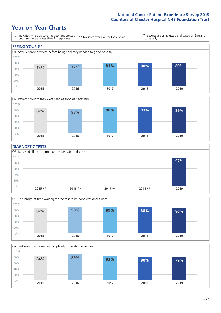### **Year on Year Charts**





#### **DIAGNOSTIC TESTS**





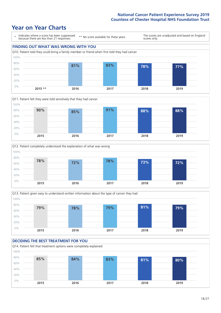







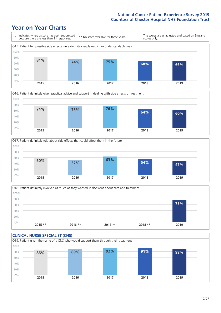





Q18. Patient definitely involved as much as they wanted in decisions about care and treatment  $0%$ 20% 40% 60% 80% 100% **2015 \*\* 2016 \*\* 2017 \*\* 2018 \*\* 2019 75%**

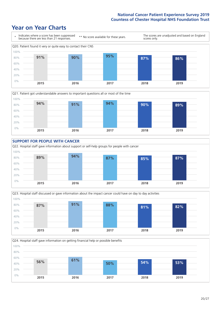







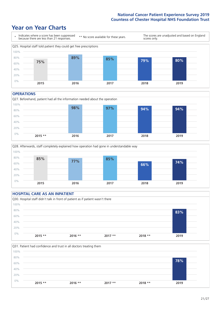### **Year on Year Charts**



#### **OPERATIONS**





#### **HOSPITAL CARE AS AN INPATIENT** Q30. Hospital staff didn't talk in front of patient as if patient wasn't there 0% 20% 40% 60% 80% 100% **2015 \*\* 2016 \*\* 2017 \*\* 2018 \*\* 2019 83%**

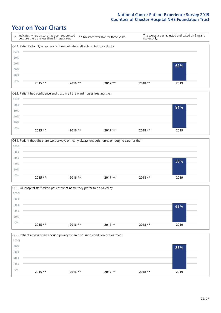







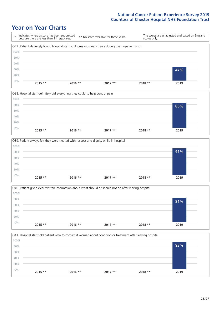







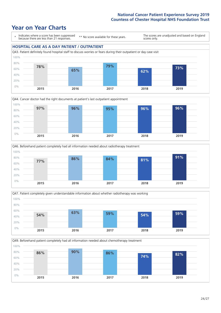







Q49. Beforehand patient completely had all information needed about chemotherapy treatment 0% 20% 40% 60% 80% 100% **2015 2016 2017 2018 2019 86% 90% 86% 74% 82%**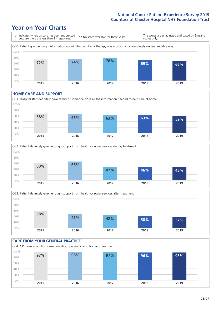### **Year on Year Charts**



#### **HOME CARE AND SUPPORT**







#### **CARE FROM YOUR GENERAL PRACTICE** Q54. GP given enough information about patient's condition and treatment 0% 20% 40% 60% 80% 100% **2015 2016 2017 2018 2019 97% 98% 97% 96% 95%**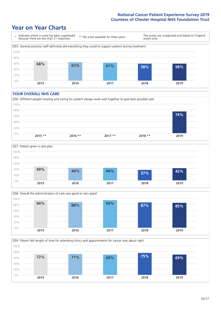### **Year on Year Charts**



#### **YOUR OVERALL NHS CARE**







Q59. Patient felt length of time for attending clinics and appointments for cancer was about right 100%